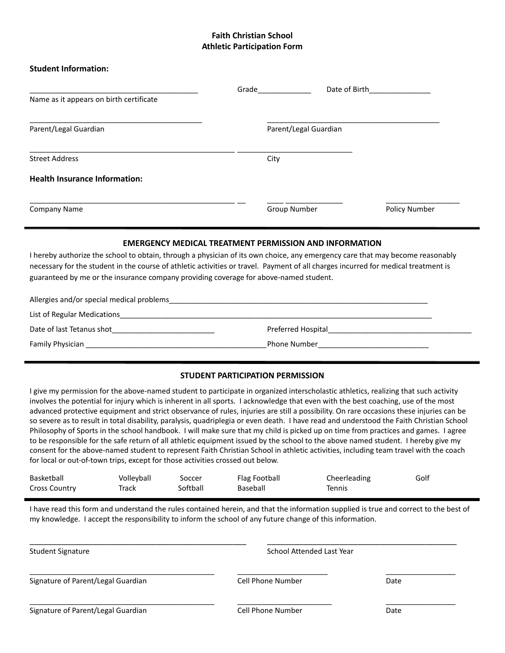# **Faith Christian School Athletic Participation Form**

#### **Student Information:**

| Name as it appears on birth certificate | Grade | Date of Birth         |               |
|-----------------------------------------|-------|-----------------------|---------------|
| Parent/Legal Guardian                   |       | Parent/Legal Guardian |               |
| <b>Street Address</b>                   | City  |                       |               |
| <b>Health Insurance Information:</b>    |       |                       |               |
| <b>Company Name</b>                     |       | Group Number          | Policy Number |

#### **EMERGENCY MEDICAL TREATMENT PERMISSION AND INFORMATION**

I hereby authorize the school to obtain, through a physician of its own choice, any emergency care that may become reasonably necessary for the student in the course of athletic activities or travel. Payment of all charges incurred for medical treatment is guaranteed by me or the insurance company providing coverage for above-named student.

| Allergies and/or special medical problems |                     |  |
|-------------------------------------------|---------------------|--|
| List of Regular Medications               |                     |  |
| Date of last Tetanus shot                 | Preferred Hospital  |  |
| Family Physician                          | <b>Phone Number</b> |  |

### **STUDENT PARTICIPATION PERMISSION**

I give my permission for the above-named student to participate in organized interscholastic athletics, realizing that such activity involves the potential for injury which is inherent in all sports. I acknowledge that even with the best coaching, use of the most advanced protective equipment and strict observance of rules, injuries are still a possibility. On rare occasions these injuries can be so severe as to result in total disability, paralysis, quadriplegia or even death. I have read and understood the Faith Christian School Philosophy of Sports in the school handbook. I will make sure that my child is picked up on time from practices and games. I agree to be responsible for the safe return of all athletic equipment issued by the school to the above named student. I hereby give my consent for the above-named student to represent Faith Christian School in athletic activities, including team travel with the coach for local or out-of-town trips, except for those activities crossed out below.

| Basketball           | Volleyball | Soccer   | Flag Football | Cheerleading | Golf |
|----------------------|------------|----------|---------------|--------------|------|
| <b>Cross Country</b> | Track      | Softball | Baseball      | Tennis       |      |

I have read this form and understand the rules contained herein, and that the information supplied is true and correct to the best of my knowledge. I accept the responsibility to inform the school of any future change of this information.

\_\_\_\_\_\_\_\_\_\_\_\_\_\_\_\_\_\_\_\_\_\_\_\_\_\_\_\_\_\_\_\_\_\_\_\_\_\_\_\_\_\_\_\_\_\_\_\_ \_\_\_\_\_\_\_\_\_\_\_\_\_\_\_\_\_\_\_\_\_\_\_\_\_\_\_\_\_\_\_\_\_\_\_\_\_\_\_\_\_\_

\_\_\_\_\_\_\_\_\_\_\_\_\_\_\_\_\_\_\_\_\_\_\_\_\_\_\_\_\_\_\_\_\_\_\_\_\_\_\_\_\_\_\_\_\_ \_\_\_\_\_\_\_\_\_\_\_\_\_\_\_\_\_\_\_\_\_\_ \_\_\_\_\_\_\_\_\_\_\_\_\_\_\_\_\_

\_\_\_\_\_\_\_\_\_\_\_\_\_\_\_\_\_\_\_\_\_\_\_\_\_\_\_\_\_\_\_\_\_\_\_\_\_\_\_\_\_\_\_\_\_ \_\_\_\_\_\_\_\_\_\_\_\_\_\_\_\_\_\_\_\_\_\_\_ \_\_\_\_\_\_\_\_\_\_\_\_\_\_\_\_\_

Student Signature School Attended Last Year School Attended Last Year School Attended Last Year

Signature of Parent/Legal Guardian Cell Phone Number Date

Signature of Parent/Legal Guardian and Cell Phone Number Date